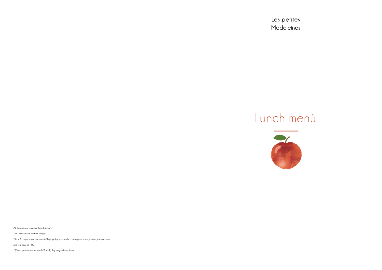Les petites Madeleines

# Lunch menù



All products are fresh and daily delivered ..

Some products can contain allergens.

° In order to guarantee raw material high quality some products are exposed to temperature fast abatement

and conserved at  $-18$ .

\*If some products are not available fresh, they are purchased frozen.